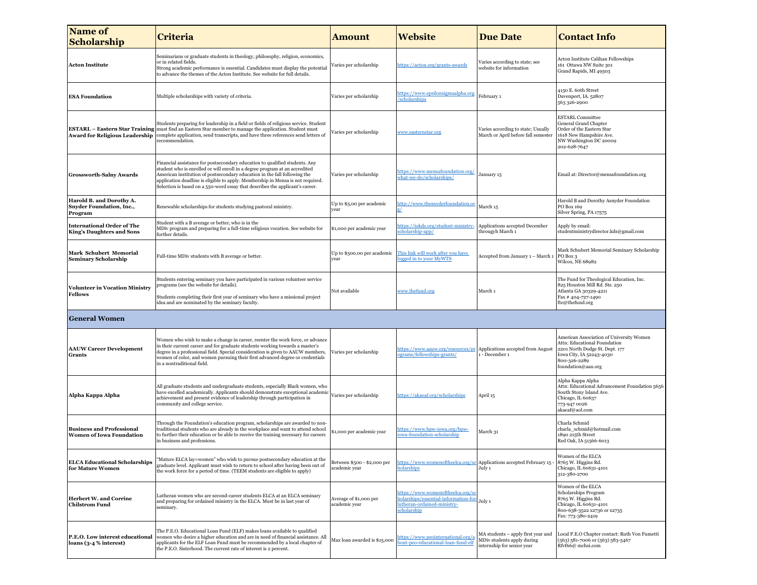| <b>Name of</b><br><b>Scholarship</b>                                  | Criteria                                                                                                                                                                                                                                                                                                                                                                                                    | Amount                                       | <b>Website</b>                                                                                                           | <b>Due Date</b>                                                                                | <b>Contact Info</b>                                                                                                                                                          |
|-----------------------------------------------------------------------|-------------------------------------------------------------------------------------------------------------------------------------------------------------------------------------------------------------------------------------------------------------------------------------------------------------------------------------------------------------------------------------------------------------|----------------------------------------------|--------------------------------------------------------------------------------------------------------------------------|------------------------------------------------------------------------------------------------|------------------------------------------------------------------------------------------------------------------------------------------------------------------------------|
| <b>Acton Institute</b>                                                | Seminarians or graduate students in theology, philosophy, religion, economics,<br>or in related fields.<br>Strong academic performance is essential. Candidates must display the potential<br>to advance the themes of the Acton Institute. See website for full details.                                                                                                                                   | Varies per scholarship                       | https://acton.org/grants-awards                                                                                          | Varies according to state; see<br>website for information                                      | Acton Institute Calihan Fellowships<br>161 Ottawa NW Suite 301<br>Grand Rapids, MI 49503                                                                                     |
| <b>ESA Foundation</b>                                                 | Multiple scholarships with variety of criteria.                                                                                                                                                                                                                                                                                                                                                             | Varies per scholarship                       | https://www.epsilonsigmaalpha.org<br>/scholarships                                                                       | February 1                                                                                     | 4150 E. 60th Street<br>Davenport, IA. 52807<br>563 326-2900                                                                                                                  |
| <b>Award for Religious Leadership</b>                                 | Students preparing for leadership in a field or fields of religious service. Student<br><b>ESTARL – Eastern Star Training</b> must find an Eastern Star member to manage the application. Student must<br>complete application, send transcripts, and have three references send letters of<br>recommendation.                                                                                              | Varies per scholarship                       | www.easternstar.org                                                                                                      | Varies according to state; Usually<br>March or April before fall semester                      | <b>ESTARL Committee</b><br><b>General Grand Chapter</b><br>Order of the Eastern Star<br>1618 New Hampshire Ave.<br>NW Washington DC 20009<br>202-628-7647                    |
| <b>Grossworth-Salny Awards</b>                                        | Financial assistance for postsecondary education to qualified students. Any<br>student who is enrolled or will enroll in a degree program at an accredited<br>American institution of postsecondary education in the fall following the<br>application deadline is eligible to apply. Membership in Mensa is not required.<br>Selection is based on a 550-word essay that describes the applicant's career. | Varies per scholarship                       | https://www.mensafoundation.org/<br>what-we-do/scholarships/                                                             | January 15                                                                                     | Email at: Director@mensafoundation.org                                                                                                                                       |
| Harold B. and Dorothy A.<br>Snyder Foundation, Inc.,<br>Program       | Renewable scholarships for students studying pastoral ministry.                                                                                                                                                                                                                                                                                                                                             | Up to \$5,00 per academic<br>year            | http://www.thesnyderfoundation.or                                                                                        | March 15                                                                                       | Harold B and Dorothy Asnyder Foundation<br>PO Box 169<br>Silver Spring, PA 17575                                                                                             |
| <b>International Order of The</b><br><b>King's Daughters and Sons</b> | Student with a B average or better, who is in the<br>MDiv program and preparing for a full-time religious vocation. See website for<br>further details.                                                                                                                                                                                                                                                     | \$1,000 per academic year                    | https://iokds.org/student-ministry-<br>scholarship-app/                                                                  | Applications accepted December<br>througyh March 1                                             | Apply by email:<br>studentministrydirector.kds@gmail.com                                                                                                                     |
| Mark Schubert Memorial<br><b>Seminary Scholarship</b>                 | Full-time MDiv students with B average or better.                                                                                                                                                                                                                                                                                                                                                           | Up to \$500.00 per academic<br>year          | This link will work after you have<br>ogged in to your MyWTS                                                             | Accepted from January 1 - March 1                                                              | Mark Schubert Memorial Seminary Scholarship<br>PO Box 3<br>Wilcox, NE 68982                                                                                                  |
| <b>Volunteer in Vocation Ministry</b><br><b>Fellows</b>               | Students entering seminary you have participated in various volunteer service<br>programs (see the website for details).<br>Students completing their first year of seminary who have a missional project<br>idea and are nominated by the seminary faculty.                                                                                                                                                | Not available                                | www.thefund.org                                                                                                          | March 1                                                                                        | The Fund for Theological Education, Inc.<br>825 Houston Mill Rd. Ste. 250<br>Atlanta GA 30329-4211<br>Fax #404-727-1490<br>fte@thefund.org                                   |
| <b>General Women</b>                                                  |                                                                                                                                                                                                                                                                                                                                                                                                             |                                              |                                                                                                                          |                                                                                                |                                                                                                                                                                              |
| <b>AAUW Career Development</b><br><b>Grants</b>                       | Women who wish to make a change in career, reenter the work force, or advance<br>in their current career and for graduate students working towards a master's<br>degree in a professional field. Special consideration is given to AAUW members,<br>women of color, and women pursuing their first advanced degree or credentials<br>in a nontraditional field.                                             | Varies per scholarship                       | https://www.aauw.org/resources/pr<br>ograms/fellowships-grants/                                                          | Applications accepted from August<br>- December 1                                              | American Association of University Women<br>Attn: Educational Foundation<br>2201 North Dodge St. Dept. 177<br>Iowa City, IA 52243-4030<br>800-326-2289<br>foundation@aau.org |
| Alpha Kappa Alpha                                                     | All graduate students and undergraduate students, especially Black women, who<br>have excelled academically. Applicants should demonstrate exceptional academic<br>achievement and present evidence of leadership through participation in<br>community and college service.                                                                                                                                | Varies per scholarship                       | https://akaeaf.org/scholarships                                                                                          | April 15                                                                                       | Alpha Kappa Alpha<br>Attn: Educational Advancement Foundation 5656<br>South Stony Island Ave.<br>Chicago, IL 60637<br>773-947 0026<br>akaeaf@aol.com                         |
| <b>Business and Professional</b><br><b>Women of Iowa Foundation</b>   | Through the Foundation's education program, scholarships are awarded to non-<br>traditional students who are already in the workplace and want to attend school<br>to further their education or be able to receive the training necessary for careers<br>in business and professions.                                                                                                                      | \$1,000 per academic year                    | https://www.bpw-iowa.org/bpw-<br>iowa-foundation-scholarship                                                             | March 31                                                                                       | Charla Schmid<br>charla schmid@hotmail.com<br>1890 215th Street<br>Red Oak, IA 51566-6013                                                                                    |
| <b>ELCA Educational Scholarships</b><br>for Mature Women              | "Mature ELCA lay=women" who wish to pursue postsecondary education at the<br>graduate level. Applicant must wish to return to school after having been out of<br>the work force for a period of time. (TEEM students are eligible to apply)                                                                                                                                                                 | Between \$500 - \$2,000 per<br>academic year | https://www.womenoftheelca.org/sc<br>holarships                                                                          | Applications accepted February 15 -<br>July 1                                                  | Women of the ELCA<br>8765 W. Higgins Rd.<br>Chicago, IL 60631-4101<br>312-380-2700                                                                                           |
| <b>Herbert W. and Corrine</b><br><b>Chilstrom Fund</b>                | Lutheran women who are second-career students ELCA at an ELCA seminary<br>and preparing for ordained ministry in the ELCA. Must be in last year of<br>seminary.                                                                                                                                                                                                                                             | Average of \$1,000 per<br>academic year      | https://www.womenoftheelca.org/sc<br>holarships/essential-information-for-<br>lutheran-ordained-ministry-<br>scholarship | July 1                                                                                         | Women of the ELCA<br>Scholarships Program<br>8765 W. Higgins Rd.<br>Chicago, IL 60631-4101<br>800-638-3522 x2736 or x2735<br>Fax: 773-380-2419                               |
| P.E.O. Low interest educational<br>loans (3-4 % interest)             | The P.E.O. Educational Loan Fund (ELF) makes loans available to qualified<br>women who desire a higher education and are in need of financial assistance. All<br>applicants for the ELF Loan Fund must be recommended by a local chapter of<br>the P.E.O. Sisterhood. The current rate of interest is 2 percent.                                                                                            | Max loan awarded is \$15,000                 | https://www.peointernational.org/a<br>pout-peo-educational-loan-fund-elf                                                 | MA students - apply first year and<br>MDiv students apply during<br>internship for senior year | Local P.E.O Chapter contact: Ruth Von Fumetti<br>(563) 581-7006 or (563) 583-5467<br>Rfvf66@ mchsi.com                                                                       |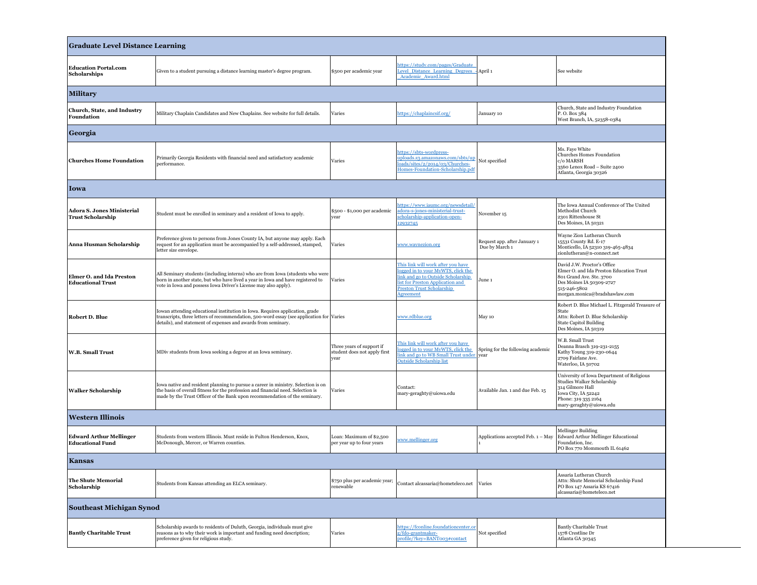| <b>Graduate Level Distance Learning</b>                       |                                                                                                                                                                                                                                                     |                                                                   |                                                                                                                                                                                                    |                                                |                                                                                                                                                                                  |  |
|---------------------------------------------------------------|-----------------------------------------------------------------------------------------------------------------------------------------------------------------------------------------------------------------------------------------------------|-------------------------------------------------------------------|----------------------------------------------------------------------------------------------------------------------------------------------------------------------------------------------------|------------------------------------------------|----------------------------------------------------------------------------------------------------------------------------------------------------------------------------------|--|
| <b>Education Portal.com</b><br>Scholarships                   | Given to a student pursuing a distance learning master's degree program.                                                                                                                                                                            | \$500 per academic year                                           | https://study.com/pages/Graduate<br>evel Distance Learning Degrees<br>Academic Award.html                                                                                                          | April 1                                        | See website                                                                                                                                                                      |  |
| <b>Military</b>                                               |                                                                                                                                                                                                                                                     |                                                                   |                                                                                                                                                                                                    |                                                |                                                                                                                                                                                  |  |
| Church, State, and Industry<br>Foundation                     | Military Chaplain Candidates and New Chaplains. See website for full details.                                                                                                                                                                       | Varies                                                            | https://chaplaincsif.org/                                                                                                                                                                          | January 10                                     | Church, State and Industry Foundation<br>P.O. Box 384<br>West Branch, IA, 52358-0384                                                                                             |  |
| Georgia                                                       |                                                                                                                                                                                                                                                     |                                                                   |                                                                                                                                                                                                    |                                                |                                                                                                                                                                                  |  |
| <b>Churches Home Foundation</b>                               | Primarily Georgia Residents with financial need and satisfactory academic<br>performance.                                                                                                                                                           | Varies                                                            | https://sbts-wordpress-<br>uploads.s3.amazonaws.com/sbts/up<br>loads/sites/2/2014/03/Churches-<br>Homes-Foundation-Scholarship.pdf                                                                 | Not specified                                  | Ms. Faye White<br>Churches Homes Foundation<br>c/o MARSH<br>3560 Lenox Road - Suite 2400<br>Atlanta, Georgia 30326                                                               |  |
| Iowa                                                          |                                                                                                                                                                                                                                                     |                                                                   |                                                                                                                                                                                                    |                                                |                                                                                                                                                                                  |  |
| <b>Adora S. Jones Ministerial</b><br><b>Trust Scholarship</b> | Student must be enrolled in seminary and a resident of Iowa to apply.                                                                                                                                                                               | \$500 - \$1,000 per academic<br>year                              | https://www.iaumc.org/newsdetail/<br>adora-s-jones-ministerial-trust-<br>scholarship-application-open-<br>2932745                                                                                  | November 15                                    | The Iowa Annual Conference of The United<br>Methodist Church<br>2301 Rittenhouse St<br>Des Moines, IA 50321                                                                      |  |
| Anna Husman Scholarship                                       | Preference given to persons from Jones County IA, but anyone may apply. Each<br>request for an application must be accompanied by a self-addressed, stamped,<br>letter size envelope.                                                               | Varies                                                            | www.waynezion.org                                                                                                                                                                                  | Request app. after January 1<br>Due by March 1 | Wayne Zion Lutheran Church<br>15531 County Rd. E-17<br>Monticello, IA 52310 319-465-4834<br>zionlutheran@n-connect.net                                                           |  |
| Elmer O. and Ida Preston<br><b>Educational Trust</b>          | All Seminary students (including interns) who are from Iowa (students who were<br>born in another state, but who have lived a year in Iowa and have registered to<br>vote in Iowa and possess Iowa Driver's License may also apply).                | Varies                                                            | This link will work after you have<br>logged in to your MyWTS, click the<br>link and go to Outside Scholarship<br>ist for Preston Application and<br><b>Preston Trust Scholarship</b><br>Agreement | June 1                                         | David J.W. Proctor's Office<br>Elmer O. and Ida Preston Education Trust<br>801 Grand Ave. Ste. 3700<br>Des Moines IA 50309-2727<br>515-246-5802<br>morgan.monica@bradshawlaw.com |  |
| <b>Robert D. Blue</b>                                         | Iowan attending educational institution in Iowa. Requires application, grade<br>transcripts, three letters of recommendation, 500-word essay (see application for Varies<br>details), and statement of expenses and awards from seminary.           |                                                                   | www.rdblue.org                                                                                                                                                                                     | May 10                                         | Robert D. Blue Michael L. Fitzgerald Treasure of<br>State<br>Attn: Robert D. Blue Scholarship<br><b>State Capitol Building</b><br>Des Moines, IA 50319                           |  |
| <b>W.B. Small Trust</b>                                       | MDiv students from Iowa seeking a degree at an Iowa seminary.                                                                                                                                                                                       | Three years of support if<br>student does not apply first<br>year | This link will work after you have<br>ogged in to your MyWTS, click the<br>ink and go to WB Small Trust under year<br><b>Outside Scholarship list</b>                                              | Spring for the following academic              | W.B. Small Trust<br>Deanna Brasch 319-231-2155<br>Kathy Young 319-230-0644<br>2709 Fairlane Ave.<br>Waterloo, IA 50702                                                           |  |
| <b>Walker Scholarship</b>                                     | Iowa native and resident planning to pursue a career in ministry. Selection is on<br>the basis of overall fitness for the profession and financial need. Selection is<br>made by the Trust Officer of the Bank upon recommendation of the seminary. | Varies                                                            | Contact:<br>mary-geraghty@uiowa.edu                                                                                                                                                                | Available Jan. 1 and due Feb. 15               | University of Iowa Department of Religious<br>Studies Walker Scholarship<br>314 Gilmore Hall<br>Iowa City, IA 52242<br>Phone: 319 335 2164<br>mary-geraghty@uiowa.edu            |  |
| <b>Western Illinois</b>                                       |                                                                                                                                                                                                                                                     |                                                                   |                                                                                                                                                                                                    |                                                |                                                                                                                                                                                  |  |
| Edward Arthur Mellinger<br><b>Educational Fund</b>            | Students from western Illinois. Must reside in Fulton Henderson, Knox,<br>McDonough, Mercer, or Warren counties.                                                                                                                                    | Loan: Maximum of \$2,500<br>per year up to four years             | www.mellinger.org                                                                                                                                                                                  | Applications accepted Feb. 1 - May             | <b>Mellinger Building</b><br>Edward Arthur Mellinger Educational<br>Foundation, Inc.<br>PO Box 770 Mommouth IL 61462                                                             |  |
| <b>Kansas</b>                                                 |                                                                                                                                                                                                                                                     |                                                                   |                                                                                                                                                                                                    |                                                |                                                                                                                                                                                  |  |
| <b>The Shute Memorial</b><br>Scholarship                      | Students from Kansas attending an ELCA seminary.                                                                                                                                                                                                    | \$750 plus per academic year;<br>renewable                        | Contact alcassaria@hometeleco.net                                                                                                                                                                  | Varies                                         | Assaria Lutheran Church<br>Attn: Shute Memorial Scholarship Fund<br>PO Box 147 Assaria KS 67416<br>alcassaria@hometeleco.net                                                     |  |
| <b>Southeast Michigan Synod</b>                               |                                                                                                                                                                                                                                                     |                                                                   |                                                                                                                                                                                                    |                                                |                                                                                                                                                                                  |  |
| <b>Bantly Charitable Trust</b>                                | Scholarship awards to residents of Duluth, Georgia, individuals must give<br>reasons as to why their work is important and funding need description;<br>preference given for religious study.                                                       | Varies                                                            | https://fconline.foundationcenter.or<br>g/fdo-grantmaker-<br>profile/?key=BANT003#contact                                                                                                          | Not specified                                  | <b>Bantly Charitable Trust</b><br>1578 Crestline Dr<br>Atlanta GA 30345                                                                                                          |  |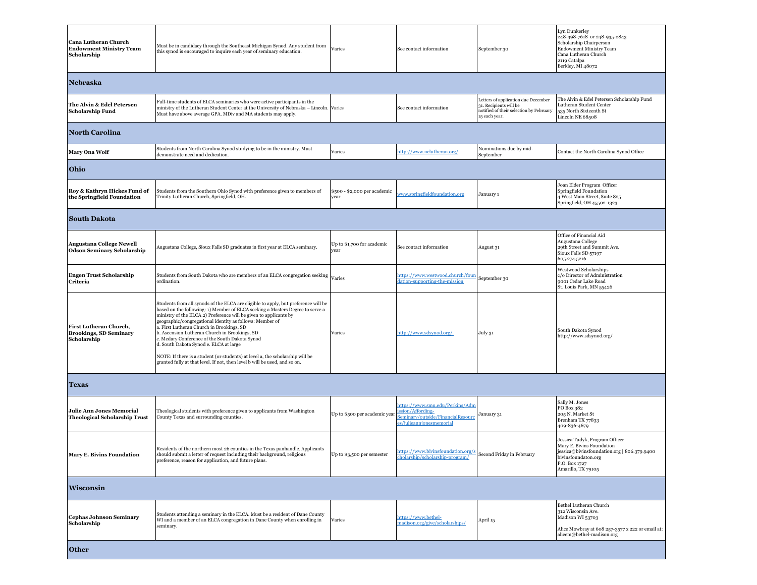| Cana Lutheran Church<br><b>Endowment Ministry Team</b><br>Scholarship   | Must be in candidacy through the Southeast Michigan Synod. Any student from<br>this synod is encouraged to inquire each year of seminary education.                                                                                                                                                                                                                                                                                                                                                                                                                                                                                                           | Varies                               | See contact information                                                                                             | September 30                                                                                                              | Lyn Dunkerley<br>248-398-7618 or 248-935-2843<br>Scholarship Chairperson<br><b>Endowment Ministry Team</b><br>Cana Lutheran Church<br>2119 Catalpa<br>Berkley, MI 48072  |
|-------------------------------------------------------------------------|---------------------------------------------------------------------------------------------------------------------------------------------------------------------------------------------------------------------------------------------------------------------------------------------------------------------------------------------------------------------------------------------------------------------------------------------------------------------------------------------------------------------------------------------------------------------------------------------------------------------------------------------------------------|--------------------------------------|---------------------------------------------------------------------------------------------------------------------|---------------------------------------------------------------------------------------------------------------------------|--------------------------------------------------------------------------------------------------------------------------------------------------------------------------|
| Nebraska                                                                |                                                                                                                                                                                                                                                                                                                                                                                                                                                                                                                                                                                                                                                               |                                      |                                                                                                                     |                                                                                                                           |                                                                                                                                                                          |
| The Alvin & Edel Petersen<br>Scholarship Fund                           | Full-time students of ELCA seminaries who were active participants in the<br>ministry of the Lutheran Student Center at the University of Nebraska - Lincoln. Varies<br>Must have above average GPA. MDiv and MA students may apply.                                                                                                                                                                                                                                                                                                                                                                                                                          |                                      | See contact information                                                                                             | Letters of application due December<br>31. Recipients will be<br>notified of their selection by February<br>15 each year. | The Alvin & Edel Petersen Scholarship Fund<br>Lutheran Student Center<br>535 North Sixteenth St<br>Lincoln NE 68508                                                      |
| <b>North Carolina</b>                                                   |                                                                                                                                                                                                                                                                                                                                                                                                                                                                                                                                                                                                                                                               |                                      |                                                                                                                     |                                                                                                                           |                                                                                                                                                                          |
| Mary Ona Wolf                                                           | Students from North Carolina Synod studying to be in the ministry. Must<br>demonstrate need and dedication.                                                                                                                                                                                                                                                                                                                                                                                                                                                                                                                                                   | Varies                               | http://www.nclutheran.org/                                                                                          | Nominations due by mid-<br>September                                                                                      | Contact the North Carolina Synod Office                                                                                                                                  |
| Ohio                                                                    |                                                                                                                                                                                                                                                                                                                                                                                                                                                                                                                                                                                                                                                               |                                      |                                                                                                                     |                                                                                                                           |                                                                                                                                                                          |
| Roy & Kathryn Hickes Fund of<br>the Springfield Foundation              | Students from the Southern Ohio Synod with preference given to members of<br>Trinity Lutheran Church, Springfield, OH.                                                                                                                                                                                                                                                                                                                                                                                                                                                                                                                                        | \$500 - \$2,000 per academic<br>year | www.springfieldfoundation.org                                                                                       | January 1                                                                                                                 | Joan Elder Program Officer<br>Springfield Foundation<br>4 West Main Street, Suite 825<br>Springfield, OH 45502-1323                                                      |
| <b>South Dakota</b>                                                     |                                                                                                                                                                                                                                                                                                                                                                                                                                                                                                                                                                                                                                                               |                                      |                                                                                                                     |                                                                                                                           |                                                                                                                                                                          |
| <b>Augustana College Newell</b><br><b>Odson Seminary Scholarship</b>    | Augustana College, Sioux Falls SD graduates in first year at ELCA seminary.                                                                                                                                                                                                                                                                                                                                                                                                                                                                                                                                                                                   | Up to \$1,700 for academic<br>year   | See contact information                                                                                             | August 31                                                                                                                 | Office of Financial Aid<br>Augustana College<br>29th Street and Summit Ave.<br>Sioux Falls SD 57197<br>605.274.5216                                                      |
| <b>Engen Trust Scholarship</b><br>Criteria                              | Students from South Dakota who are members of an ELCA congregation seeking Varies<br>ordination.                                                                                                                                                                                                                                                                                                                                                                                                                                                                                                                                                              |                                      | https://www.westwood.church/four<br>dation-supporting-the-mission                                                   | September 30                                                                                                              | Westwood Scholarships<br>c/o Director of Administration<br>9001 Cedar Lake Road<br>St. Louis Park, MN 55426                                                              |
| First Lutheran Church,<br><b>Brookings, SD Seminary</b><br>Scholarship  | Students from all synods of the ELCA are eligible to apply, but preference will be<br>based on the following: 1) Member of ELCA seeking a Masters Degree to serve a<br>ministry of the ELCA 2) Preference will be given to applicants by<br>geographic/congregational identity as follows: Member of<br>a. First Lutheran Church in Brookings, SD<br>b. Ascension Lutheran Church in Brookings, SD<br>c. Medary Conference of the South Dakota Synod<br>d. South Dakota Synod e. ELCA at large<br>NOTE: If there is a student (or students) at level a, the scholarship will be<br>granted fully at that level. If not, then level b will be used, and so on. | Varies                               | http://www.sdsynod.org/                                                                                             | July 31                                                                                                                   | South Dakota Synod<br>http://www.sdsynod.org/                                                                                                                            |
| <b>Texas</b>                                                            |                                                                                                                                                                                                                                                                                                                                                                                                                                                                                                                                                                                                                                                               |                                      |                                                                                                                     |                                                                                                                           |                                                                                                                                                                          |
| <b>Julie Ann Jones Memorial</b><br><b>Theological Scholarship Trust</b> | Theological students with preference given to applicants from Washington<br>County Texas and surrounding counties.                                                                                                                                                                                                                                                                                                                                                                                                                                                                                                                                            | Up to \$500 per academic year        | https://www.smu.edu/Perkins/Adm<br>ssion/Affording-<br>Seminary/outside/FinancialResoure<br>s/julieannjonesmemorial | January 31                                                                                                                | Sally M. Jones<br>PO Box 382<br>205 N. Market St<br>Brenham TX 77833<br>409-836-4679                                                                                     |
| Mary E. Bivins Foundation                                               | Residents of the northern most 26 counties in the Texas panhandle. Applicants<br>snould submit a letter of request including their background, religious<br>preference, reason for application, and future plans.                                                                                                                                                                                                                                                                                                                                                                                                                                             | Up to \$3,500 per semester           | https://www.bivinsfoundation.org/s<br>cholarship/scholarship-program/                                               | Second Friday in February                                                                                                 | Jessica Tudyk, Program Officer<br>Mary E. Bivins Foundation<br>jessica@bivinsfoundation.org   806.379.9400<br>bivinsfoundaton.org<br>P.O. Box 1727<br>Amarillo, TX 79105 |
| <b>Wisconsin</b>                                                        |                                                                                                                                                                                                                                                                                                                                                                                                                                                                                                                                                                                                                                                               |                                      |                                                                                                                     |                                                                                                                           |                                                                                                                                                                          |
| <b>Cephas Johnson Seminary</b><br>Scholarship                           | Students attending a seminary in the ELCA. Must be a resident of Dane County<br>WI and a member of an ELCA congregation in Dane County when enrolling in<br>seminary.                                                                                                                                                                                                                                                                                                                                                                                                                                                                                         | Varies                               | https://www.bethel-<br>madison.org/give/scholarships/                                                               | April 15                                                                                                                  | Bethel Lutheran Church<br>312 Wisconsin Ave.<br>Madison WI 53703<br>Alice Mowbray at 608 257-3577 x 222 or email at:<br>alicem@bethel-madison.org                        |
| <b>Other</b>                                                            |                                                                                                                                                                                                                                                                                                                                                                                                                                                                                                                                                                                                                                                               |                                      |                                                                                                                     |                                                                                                                           |                                                                                                                                                                          |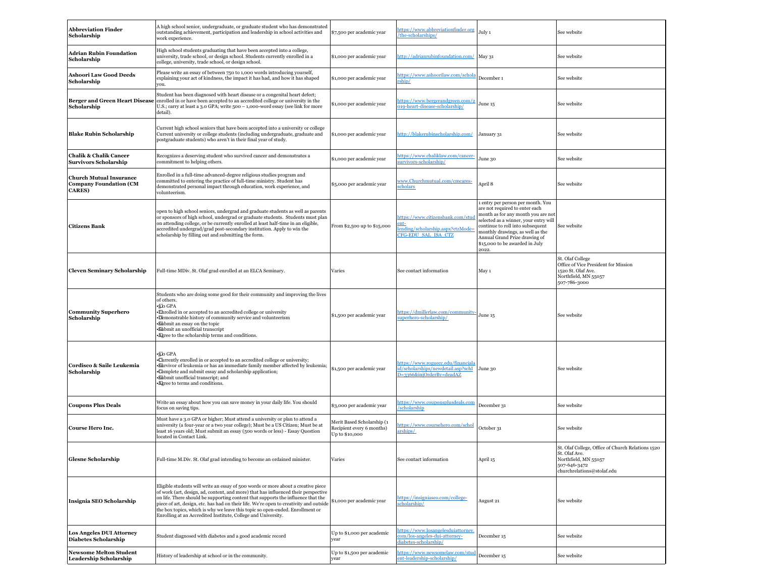| <b>Abbreviation Finder</b><br>Scholarship                                         | A high school senior, undergraduate, or graduate student who has demonstrated<br>outstanding achievement, participation and leadership in school activities and<br>work experience.                                                                                                                                                                                                                                                                                                                     | \$7,500 per academic year                                                 | https://www.abbreviationfinder.org<br>the-scholarships/                                              | July 1                                                                                                                                                                                                                                                                                                 | See website                                                                                                                              |
|-----------------------------------------------------------------------------------|---------------------------------------------------------------------------------------------------------------------------------------------------------------------------------------------------------------------------------------------------------------------------------------------------------------------------------------------------------------------------------------------------------------------------------------------------------------------------------------------------------|---------------------------------------------------------------------------|------------------------------------------------------------------------------------------------------|--------------------------------------------------------------------------------------------------------------------------------------------------------------------------------------------------------------------------------------------------------------------------------------------------------|------------------------------------------------------------------------------------------------------------------------------------------|
| Adrian Rubin Foundation<br>Scholarship                                            | High school students graduating that have been accepted into a college,<br>university, trade school, or design school. Students currently enrolled in a<br>college, university, trade school, or design school.                                                                                                                                                                                                                                                                                         | \$1,000 per academic year                                                 | http://adrianrubinfoundation.com/                                                                    | May 31                                                                                                                                                                                                                                                                                                 | See website                                                                                                                              |
| Ashoori Law Good Deeds<br>Scholarship                                             | Please write an essay of between 750 to 1,000 words introducing yourself,<br>explaining your act of kindness, the impact it has had, and how it has shaped<br>VOIL.                                                                                                                                                                                                                                                                                                                                     | \$1,000 per academic year                                                 | https://www.ashoorilaw.com/schola<br>ship/                                                           | December 1                                                                                                                                                                                                                                                                                             | See website                                                                                                                              |
| <b>Berger and Green Heart Disease</b><br>Scholarship                              | Student has been diagnosed with heart disease or a congenital heart defect;<br>enrolled in or have been accepted to an accredited college or university in the<br>U.S.; carry at least a 3.0 GPA; write 500 – 1,000-word essay (see link for more<br>detail).                                                                                                                                                                                                                                           | \$1,000 per academic year                                                 | nttps://www.bergerandgreen.com/2<br>019-heart-disease-scholarship/                                   | June 15                                                                                                                                                                                                                                                                                                | See website                                                                                                                              |
| <b>Blake Rubin Scholarship</b>                                                    | Current high school seniors that have been accepted into a university or college<br>Current university or college students (including undergraduate, graduate and<br>postgraduate students) who aren't in their final year of study.                                                                                                                                                                                                                                                                    | \$1,000 per academic year                                                 | http://blakerubinscholarship.com/                                                                    | January 31                                                                                                                                                                                                                                                                                             | See website                                                                                                                              |
| <b>Chalik &amp; Chalik Cancer</b><br>Survivors Scholarship                        | Recognizes a deserving student who survived cancer and demonstrates a<br>commitment to helping others.                                                                                                                                                                                                                                                                                                                                                                                                  | \$1,000 per academic year                                                 | https://www.chaliklaw.com/cancer-<br>survivors-scholarship/                                          | June 30                                                                                                                                                                                                                                                                                                | See website                                                                                                                              |
| <b>Church Mutual Insurance</b><br><b>Company Foundation (CM</b><br><b>CARES</b> ) | Enrolled in a full-time advanced-degree religious studies program and<br>committed to entering the practice of full-time ministry. Student has<br>demonstrated personal impact through education, work experience, and<br>volunteerism.                                                                                                                                                                                                                                                                 | \$5,000 per academic year                                                 | www.Churchmutual.com/cmcares-<br>scholars                                                            | April 8                                                                                                                                                                                                                                                                                                | See website                                                                                                                              |
| <b>Citizens Bank</b>                                                              | open to high school seniors, undergrad and graduate students as well as parents<br>or sponsors of high school, undergrad or graduate students. Students must plan<br>on attending college, or be currently enrolled at least half-time in an eligible,<br>accredited undergrad/grad post-secondary institution. Apply to win the<br>scholarship by filling out and submitting the form.                                                                                                                 | From \$2,500 up to \$15,000                                               | https://www.citizensbank.com/stu<br>$ent-$<br>ending/scholarship.aspx?ctzMode<br>CFG-EDU SAL ISA CTZ | 1 entry per person per month. You<br>are not required to enter each<br>month as for any month you are not<br>selected as a winner, your entry will<br>continue to roll into subsequent<br>monthly drawings, as well as the<br>Annual Grand Prize drawing of<br>\$15,000 to be awarded in July<br>2022. | See website                                                                                                                              |
| <b>Cleven Seminary Scholarship</b>                                                | Full-time MDiv. St. Olaf grad enrolled at an ELCA Seminary.                                                                                                                                                                                                                                                                                                                                                                                                                                             | Varies                                                                    | See contact information                                                                              | May 1                                                                                                                                                                                                                                                                                                  | St. Olaf College<br>Office of Vice President for Mission<br>1520 St. Olaf Ave.<br>Northfield, MN 55057<br>507-786-3000                   |
| <b>Community Superhero</b><br>Scholarship                                         | Students who are doing some good for their community and improving the lives<br>of others.<br>∙go GPA<br>Ehrolled in or accepted to an accredited college or university<br>·Demonstrable history of community service and volunteerism<br>·Submit an essay on the topic<br>·Submit an unofficial transcript<br>· Agree to the scholarship terms and conditions.                                                                                                                                         | \$1,500 per academic year                                                 | https://dmillerlaw.com/community-<br>superhero-scholarship/                                          | June 15                                                                                                                                                                                                                                                                                                | See website                                                                                                                              |
| Cordisco & Saile Leukemia<br>Scholarship                                          | ∙glo GPA<br>Currently enrolled in or accepted to an accredited college or university;<br>·Shrvivor of leukemia or has an immediate family member affected by leukemia;<br>Complete and submit essay and scholarship application;<br>·Submit unofficial transcript; and<br><b>*Agree</b> to terms and conditions.                                                                                                                                                                                        | \$1,500 per academic year                                                 | https://www.roguecc.edu/financiala<br>id/scholarships/newdetail.asp?schI<br>D=3366&injOrderBy=deadAZ | June 30                                                                                                                                                                                                                                                                                                | See website                                                                                                                              |
| <b>Coupons Plus Deals</b>                                                         | Write an essay about how you can save money in your daily life. You should<br>focus on saving tips.                                                                                                                                                                                                                                                                                                                                                                                                     | \$3,000 per academic year                                                 | https://www.couponsplusdeals.com<br>scholarship                                                      | December 31                                                                                                                                                                                                                                                                                            | See website                                                                                                                              |
| <b>Course Hero Inc.</b>                                                           | Must have a 3.0 GPA or higher; Must attend a university or plan to attend a<br>university (a four-year or a two year college); Must be a US Citizen; Must be at<br>least 16 years old; Must submit an essay (500 words or less) - Essay Question<br>located in Contact Link.                                                                                                                                                                                                                            | Merit Based Scholarship (1<br>Recipient every 6 months)<br>Up to \$10,000 | https://www.coursehero.com/schol<br>arships/                                                         | October 31                                                                                                                                                                                                                                                                                             | See website                                                                                                                              |
| <b>Glesne Scholarship</b>                                                         | Full-time M.Div. St. Olaf grad intending to become an ordained minister.                                                                                                                                                                                                                                                                                                                                                                                                                                | Varies                                                                    | See contact information                                                                              | April 15                                                                                                                                                                                                                                                                                               | St. Olaf College, Office of Church Relations 1520<br>St. Olaf Ave.<br>Northfield, MN 55057<br>507-646-3472<br>churchrelations@stolaf.edu |
| Insignia SEO Scholarship                                                          | Eligible students will write an essay of 500 words or more about a creative piece<br>of work (art, design, ad, content, and more) that has influenced their perspective<br>on life. There should be supporting content that supports the influence that the<br>piece of art, design, etc. has had on their life. We're open to creativity and outside<br>the box topics, which is why we leave this topic so open-ended. Enrollment or<br>Enrolling at an Accredited Institute, College and University. | \$1,000 per academic year                                                 | https://insigniaseo.com/college-<br>scholarship/                                                     | August 21                                                                                                                                                                                                                                                                                              | See website                                                                                                                              |
| <b>Los Angeles DUI Attorney</b><br><b>Diabetes Scholarship</b>                    | Student diagnosed with diabetes and a good academic record                                                                                                                                                                                                                                                                                                                                                                                                                                              | Up to \$1,000 per academic<br>vear                                        | nttps://www.losangelesduiattorney.<br>com/los-angeles-dui-attorney-<br>diabetes-scholarship/         | December 15                                                                                                                                                                                                                                                                                            | See website                                                                                                                              |
| <b>Newsome Melton Student</b><br>Leadership Scholarship                           | History of leadership at school or in the community.                                                                                                                                                                                                                                                                                                                                                                                                                                                    | Up to \$1,500 per academic<br>vear                                        | https://www.newsomelaw.com/stud<br>ent-leadership-scholarship/                                       | December 15                                                                                                                                                                                                                                                                                            | See website                                                                                                                              |